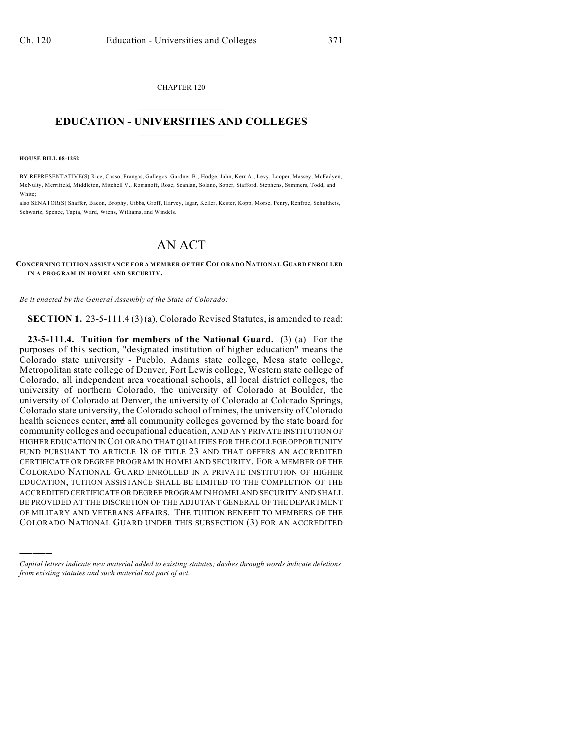CHAPTER 120  $\overline{\phantom{a}}$  . The set of the set of the set of the set of the set of the set of the set of the set of the set of the set of the set of the set of the set of the set of the set of the set of the set of the set of the set o

## **EDUCATION - UNIVERSITIES AND COLLEGES**  $\_$

**HOUSE BILL 08-1252**

)))))

BY REPRESENTATIVE(S) Rice, Casso, Frangas, Gallegos, Gardner B., Hodge, Jahn, Kerr A., Levy, Looper, Massey, McFadyen, McNulty, Merrifield, Middleton, Mitchell V., Romanoff, Rose, Scanlan, Solano, Soper, Stafford, Stephens, Summers, Todd, and White;

also SENATOR(S) Shaffer, Bacon, Brophy, Gibbs, Groff, Harvey, Isgar, Keller, Kester, Kopp, Morse, Penry, Renfroe, Schultheis, Schwartz, Spence, Tapia, Ward, Wiens, Williams, and Windels.

## AN ACT

**CONCERNING TUITION ASSISTANCE FOR A MEMBER OF THE COLORADO NATIONAL GUARD ENROLLED IN A PROGRAM IN HOMELAND SECURITY.** 

*Be it enacted by the General Assembly of the State of Colorado:*

**SECTION 1.** 23-5-111.4 (3) (a), Colorado Revised Statutes, is amended to read:

**23-5-111.4. Tuition for members of the National Guard.** (3) (a) For the purposes of this section, "designated institution of higher education" means the Colorado state university - Pueblo, Adams state college, Mesa state college, Metropolitan state college of Denver, Fort Lewis college, Western state college of Colorado, all independent area vocational schools, all local district colleges, the university of northern Colorado, the university of Colorado at Boulder, the university of Colorado at Denver, the university of Colorado at Colorado Springs, Colorado state university, the Colorado school of mines, the university of Colorado health sciences center, and all community colleges governed by the state board for community colleges and occupational education, AND ANY PRIVATE INSTITUTION OF HIGHER EDUCATION IN COLORADO THAT QUALIFIES FOR THE COLLEGE OPPORTUNITY FUND PURSUANT TO ARTICLE 18 OF TITLE 23 AND THAT OFFERS AN ACCREDITED CERTIFICATE OR DEGREE PROGRAM IN HOMELAND SECURITY. FOR A MEMBER OF THE COLORADO NATIONAL GUARD ENROLLED IN A PRIVATE INSTITUTION OF HIGHER EDUCATION, TUITION ASSISTANCE SHALL BE LIMITED TO THE COMPLETION OF THE ACCREDITED CERTIFICATE OR DEGREE PROGRAM IN HOMELAND SECURITY AND SHALL BE PROVIDED AT THE DISCRETION OF THE ADJUTANT GENERAL OF THE DEPARTMENT OF MILITARY AND VETERANS AFFAIRS. THE TUITION BENEFIT TO MEMBERS OF THE COLORADO NATIONAL GUARD UNDER THIS SUBSECTION (3) FOR AN ACCREDITED

*Capital letters indicate new material added to existing statutes; dashes through words indicate deletions from existing statutes and such material not part of act.*